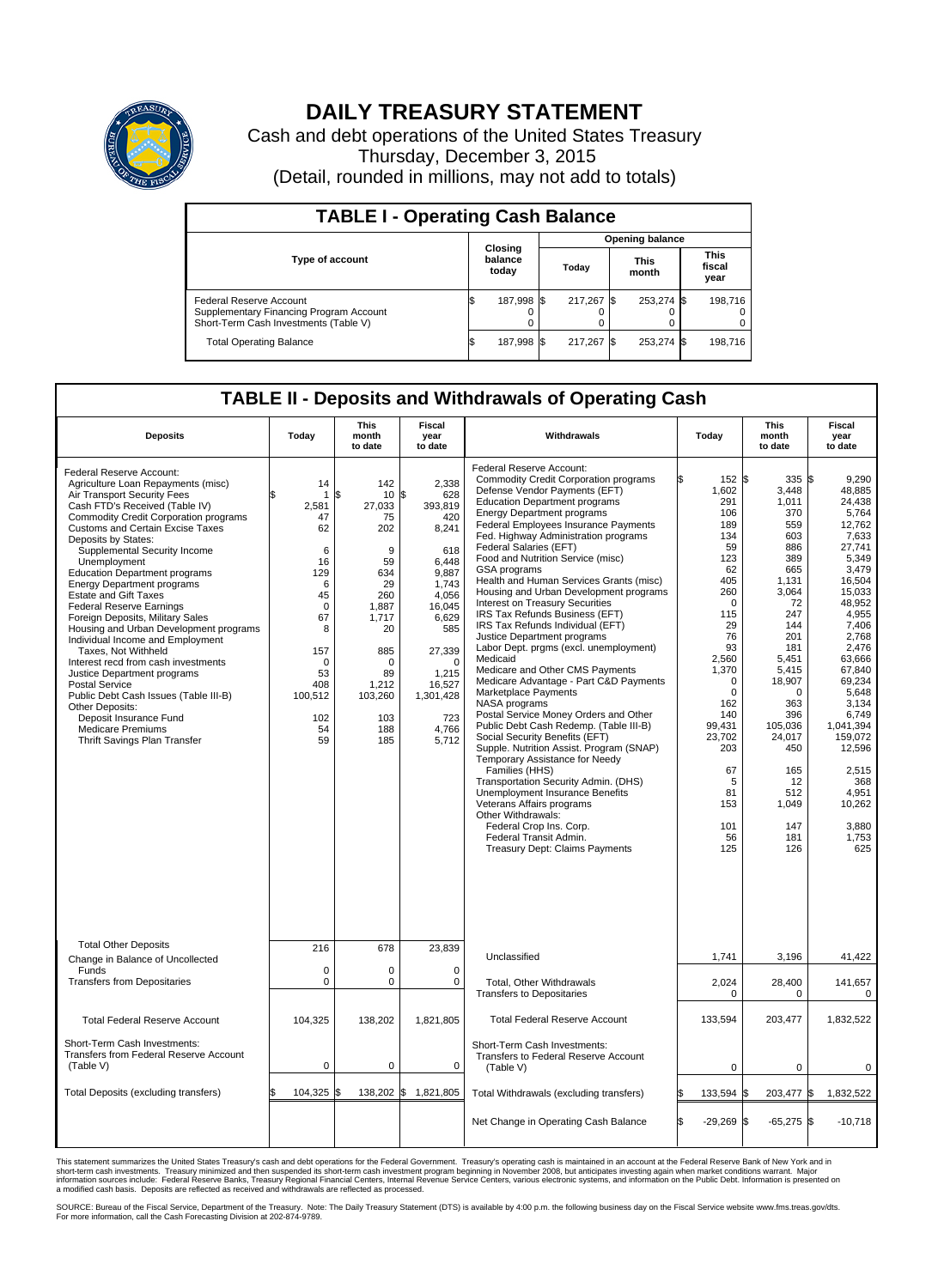

## **DAILY TREASURY STATEMENT**

Cash and debt operations of the United States Treasury Thursday, December 3, 2015 (Detail, rounded in millions, may not add to totals)

| <b>TABLE I - Operating Cash Balance</b>                                                                     |  |                             |  |                        |  |                      |  |                               |  |  |
|-------------------------------------------------------------------------------------------------------------|--|-----------------------------|--|------------------------|--|----------------------|--|-------------------------------|--|--|
|                                                                                                             |  | Closing<br>balance<br>today |  | <b>Opening balance</b> |  |                      |  |                               |  |  |
| <b>Type of account</b>                                                                                      |  |                             |  | Todav                  |  | <b>This</b><br>month |  | <b>This</b><br>fiscal<br>year |  |  |
| Federal Reserve Account<br>Supplementary Financing Program Account<br>Short-Term Cash Investments (Table V) |  | 187,998 \$                  |  | 217.267 \$             |  | 253,274 \$           |  | 198.716                       |  |  |
| <b>Total Operating Balance</b>                                                                              |  | 187,998 \$                  |  | 217.267 \$             |  | 253,274 \$           |  | 198,716                       |  |  |

## **TABLE II - Deposits and Withdrawals of Operating Cash**

| <b>Deposits</b>                                                                                                                                                                                                                                                                                                                                                                                                                                                                                                                                                                                                                                                                                                                                                                                                                      | Todav                                                                                                                                                           | <b>This</b><br>month<br>to date                                                                                                                                 | Fiscal<br>year<br>to date                                                                                                                                                                         | Withdrawals                                                                                                                                                                                                                                                                                                                                                                                                                                                                                                                                                                                                                                                                                                                                                                                                                                                                                                                                                                                                                                                                                                                                                                                                            | Today |                                                                                                                                                                                                                                                         | <b>This</b><br>month<br>to date                                                                                                                                                                                                                                         | Fiscal<br>year<br>to date                                                                                                                                                                                                                                                                                  |
|--------------------------------------------------------------------------------------------------------------------------------------------------------------------------------------------------------------------------------------------------------------------------------------------------------------------------------------------------------------------------------------------------------------------------------------------------------------------------------------------------------------------------------------------------------------------------------------------------------------------------------------------------------------------------------------------------------------------------------------------------------------------------------------------------------------------------------------|-----------------------------------------------------------------------------------------------------------------------------------------------------------------|-----------------------------------------------------------------------------------------------------------------------------------------------------------------|---------------------------------------------------------------------------------------------------------------------------------------------------------------------------------------------------|------------------------------------------------------------------------------------------------------------------------------------------------------------------------------------------------------------------------------------------------------------------------------------------------------------------------------------------------------------------------------------------------------------------------------------------------------------------------------------------------------------------------------------------------------------------------------------------------------------------------------------------------------------------------------------------------------------------------------------------------------------------------------------------------------------------------------------------------------------------------------------------------------------------------------------------------------------------------------------------------------------------------------------------------------------------------------------------------------------------------------------------------------------------------------------------------------------------------|-------|---------------------------------------------------------------------------------------------------------------------------------------------------------------------------------------------------------------------------------------------------------|-------------------------------------------------------------------------------------------------------------------------------------------------------------------------------------------------------------------------------------------------------------------------|------------------------------------------------------------------------------------------------------------------------------------------------------------------------------------------------------------------------------------------------------------------------------------------------------------|
| Federal Reserve Account:<br>Agriculture Loan Repayments (misc)<br>Air Transport Security Fees<br>Cash FTD's Received (Table IV)<br><b>Commodity Credit Corporation programs</b><br><b>Customs and Certain Excise Taxes</b><br>Deposits by States:<br>Supplemental Security Income<br>Unemployment<br><b>Education Department programs</b><br><b>Energy Department programs</b><br><b>Estate and Gift Taxes</b><br><b>Federal Reserve Earnings</b><br>Foreign Deposits, Military Sales<br>Housing and Urban Development programs<br>Individual Income and Employment<br>Taxes. Not Withheld<br>Interest recd from cash investments<br>Justice Department programs<br>Postal Service<br>Public Debt Cash Issues (Table III-B)<br>Other Deposits:<br>Deposit Insurance Fund<br><b>Medicare Premiums</b><br>Thrift Savings Plan Transfer | 14<br>$\mathbf{1}$<br>2,581<br>47<br>62<br>6<br>16<br>129<br>6<br>45<br>$\mathbf 0$<br>67<br>8<br>157<br>$\mathbf 0$<br>53<br>408<br>100,512<br>102<br>54<br>59 | 142<br>\$<br>10<br>27,033<br>75<br>202<br>9<br>59<br>634<br>29<br>260<br>1,887<br>1.717<br>20<br>885<br>$\Omega$<br>89<br>1,212<br>103,260<br>103<br>188<br>185 | 2,338<br>\$<br>628<br>393,819<br>420<br>8,241<br>618<br>6,448<br>9.887<br>1.743<br>4,056<br>16,045<br>6,629<br>585<br>27,339<br>$\Omega$<br>1,215<br>16,527<br>1,301,428<br>723<br>4,766<br>5,712 | Federal Reserve Account:<br><b>Commodity Credit Corporation programs</b><br>Defense Vendor Payments (EFT)<br><b>Education Department programs</b><br><b>Energy Department programs</b><br><b>Federal Employees Insurance Payments</b><br>Fed. Highway Administration programs<br>Federal Salaries (EFT)<br>Food and Nutrition Service (misc)<br>GSA programs<br>Health and Human Services Grants (misc)<br>Housing and Urban Development programs<br>Interest on Treasury Securities<br>IRS Tax Refunds Business (EFT)<br>IRS Tax Refunds Individual (EFT)<br>Justice Department programs<br>Labor Dept. prgms (excl. unemployment)<br>Medicaid<br>Medicare and Other CMS Payments<br>Medicare Advantage - Part C&D Payments<br>Marketplace Payments<br>NASA programs<br>Postal Service Money Orders and Other<br>Public Debt Cash Redemp. (Table III-B)<br>Social Security Benefits (EFT)<br>Supple. Nutrition Assist. Program (SNAP)<br>Temporary Assistance for Needy<br>Families (HHS)<br>Transportation Security Admin. (DHS)<br>Unemployment Insurance Benefits<br>Veterans Affairs programs<br>Other Withdrawals:<br>Federal Crop Ins. Corp.<br>Federal Transit Admin.<br><b>Treasury Dept: Claims Payments</b> |       | 152S<br>1,602<br>291<br>106<br>189<br>134<br>59<br>123<br>62<br>405<br>260<br>$\mathbf 0$<br>115<br>29<br>76<br>93<br>2,560<br>1,370<br>$\mathbf 0$<br>$\mathbf 0$<br>162<br>140<br>99,431<br>23,702<br>203<br>67<br>5<br>81<br>153<br>101<br>56<br>125 | $335$ $\sqrt{3}$<br>3,448<br>1,011<br>370<br>559<br>603<br>886<br>389<br>665<br>1,131<br>3.064<br>72<br>247<br>144<br>201<br>181<br>5.451<br>5,415<br>18,907<br>$\mathbf 0$<br>363<br>396<br>105.036<br>24,017<br>450<br>165<br>12<br>512<br>1,049<br>147<br>181<br>126 | 9.290<br>48,885<br>24.438<br>5,764<br>12,762<br>7,633<br>27,741<br>5,349<br>3,479<br>16,504<br>15,033<br>48,952<br>4,955<br>7,406<br>2,768<br>2,476<br>63.666<br>67,840<br>69,234<br>5,648<br>3.134<br>6,749<br>1,041,394<br>159,072<br>12,596<br>2,515<br>368<br>4,951<br>10,262<br>3,880<br>1,753<br>625 |
| <b>Total Other Deposits</b><br>Change in Balance of Uncollected                                                                                                                                                                                                                                                                                                                                                                                                                                                                                                                                                                                                                                                                                                                                                                      | 216                                                                                                                                                             | 678                                                                                                                                                             | 23,839                                                                                                                                                                                            | Unclassified                                                                                                                                                                                                                                                                                                                                                                                                                                                                                                                                                                                                                                                                                                                                                                                                                                                                                                                                                                                                                                                                                                                                                                                                           |       | 1,741                                                                                                                                                                                                                                                   | 3,196                                                                                                                                                                                                                                                                   | 41,422                                                                                                                                                                                                                                                                                                     |
| Funds<br><b>Transfers from Depositaries</b>                                                                                                                                                                                                                                                                                                                                                                                                                                                                                                                                                                                                                                                                                                                                                                                          | $\mathbf 0$<br>$\mathbf 0$<br>0<br>$\mathbf 0$<br>0<br>$\mathbf 0$<br>Total, Other Withdrawals<br><b>Transfers to Depositaries</b>                              |                                                                                                                                                                 |                                                                                                                                                                                                   |                                                                                                                                                                                                                                                                                                                                                                                                                                                                                                                                                                                                                                                                                                                                                                                                                                                                                                                                                                                                                                                                                                                                                                                                                        |       | 2,024<br>$\Omega$                                                                                                                                                                                                                                       | 28,400<br>$\Omega$                                                                                                                                                                                                                                                      | 141,657<br>$\Omega$                                                                                                                                                                                                                                                                                        |
| <b>Total Federal Reserve Account</b>                                                                                                                                                                                                                                                                                                                                                                                                                                                                                                                                                                                                                                                                                                                                                                                                 | 104,325                                                                                                                                                         | 138,202                                                                                                                                                         | 1,821,805                                                                                                                                                                                         | <b>Total Federal Reserve Account</b>                                                                                                                                                                                                                                                                                                                                                                                                                                                                                                                                                                                                                                                                                                                                                                                                                                                                                                                                                                                                                                                                                                                                                                                   |       | 133,594                                                                                                                                                                                                                                                 | 203,477                                                                                                                                                                                                                                                                 | 1,832,522                                                                                                                                                                                                                                                                                                  |
| Short-Term Cash Investments:<br><b>Transfers from Federal Reserve Account</b><br>(Table V)                                                                                                                                                                                                                                                                                                                                                                                                                                                                                                                                                                                                                                                                                                                                           | $\mathbf 0$                                                                                                                                                     | 0                                                                                                                                                               | $\mathbf 0$                                                                                                                                                                                       | Short-Term Cash Investments:<br>Transfers to Federal Reserve Account<br>(Table V)                                                                                                                                                                                                                                                                                                                                                                                                                                                                                                                                                                                                                                                                                                                                                                                                                                                                                                                                                                                                                                                                                                                                      |       | 0                                                                                                                                                                                                                                                       | $\mathbf 0$                                                                                                                                                                                                                                                             | 0                                                                                                                                                                                                                                                                                                          |
| Total Deposits (excluding transfers)                                                                                                                                                                                                                                                                                                                                                                                                                                                                                                                                                                                                                                                                                                                                                                                                 | 104,325<br>\$                                                                                                                                                   | 1\$                                                                                                                                                             | 138,202 \$ 1,821,805                                                                                                                                                                              | Total Withdrawals (excluding transfers)                                                                                                                                                                                                                                                                                                                                                                                                                                                                                                                                                                                                                                                                                                                                                                                                                                                                                                                                                                                                                                                                                                                                                                                |       | 133,594                                                                                                                                                                                                                                                 | 203,477 \$                                                                                                                                                                                                                                                              | 1,832,522                                                                                                                                                                                                                                                                                                  |
|                                                                                                                                                                                                                                                                                                                                                                                                                                                                                                                                                                                                                                                                                                                                                                                                                                      |                                                                                                                                                                 |                                                                                                                                                                 |                                                                                                                                                                                                   | Net Change in Operating Cash Balance                                                                                                                                                                                                                                                                                                                                                                                                                                                                                                                                                                                                                                                                                                                                                                                                                                                                                                                                                                                                                                                                                                                                                                                   | \$    | $-29,269$ \$                                                                                                                                                                                                                                            | $-65,275$ \$                                                                                                                                                                                                                                                            | $-10,718$                                                                                                                                                                                                                                                                                                  |

This statement summarizes the United States Treasury's cash and debt operations for the Federal Government. Treasury's operating cash is maintained in an account at the Federal Reserve Bank of New York and in<br>short-term ca

SOURCE: Bureau of the Fiscal Service, Department of the Treasury. Note: The Daily Treasury Statement (DTS) is available by 4:00 p.m. the following business day on the Fiscal Service website www.fms.treas.gov/dts.<br>For more